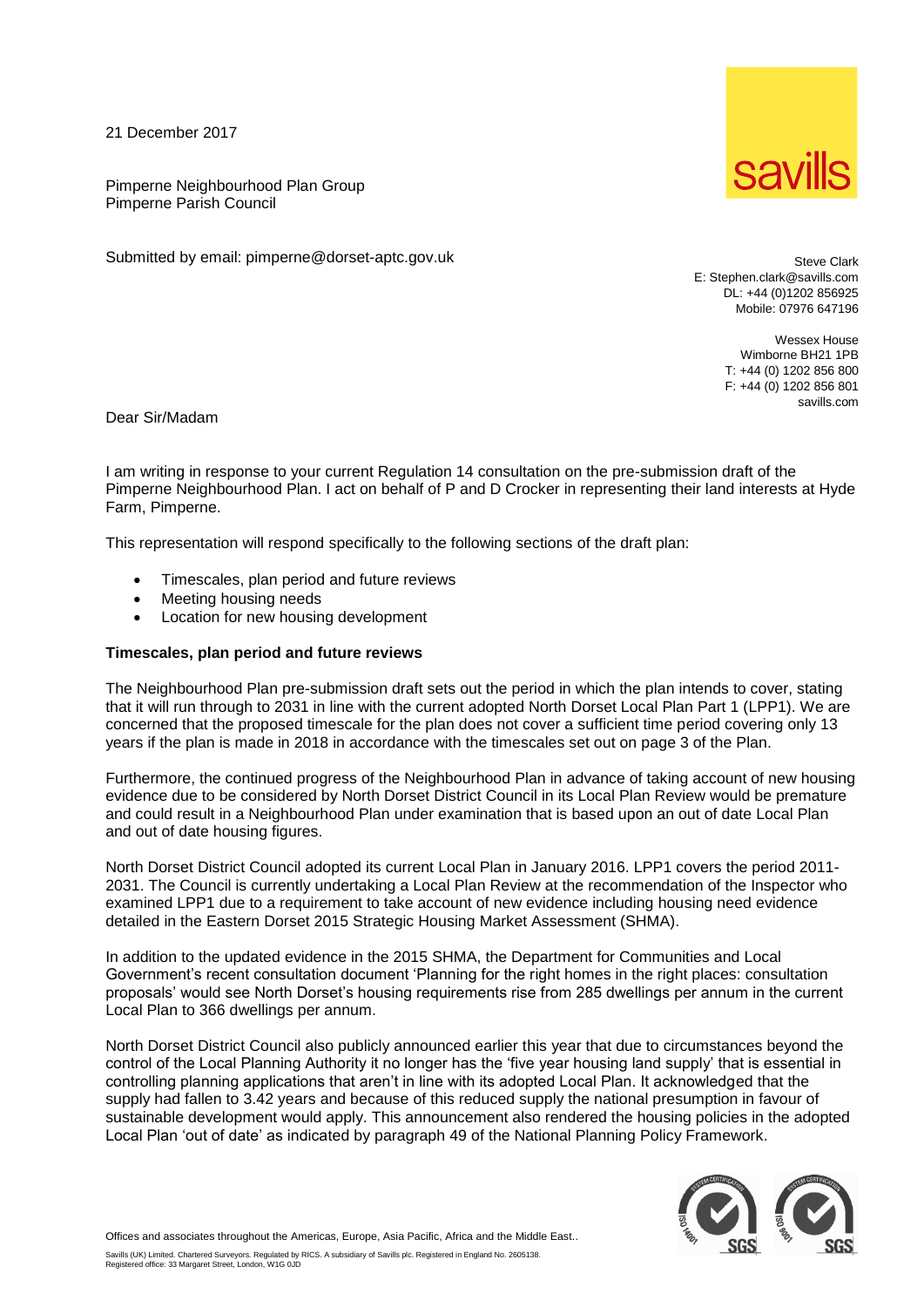21 December 2017

Pimperne Neighbourhood Plan Group Pimperne Parish Council

Submitted by email: pimperne@dorset-aptc.gov.uk

Steve Clark E: Stephen.clark@savills.com DL: +44 (0)1202 856925

> Wessex House Wimborne BH21 1PB T: +44 (0) 1202 856 800 F: +44 (0) 1202 856 801 savills.com

Mobile: 07976 647196

Dear Sir/Madam

I am writing in response to your current Regulation 14 consultation on the pre-submission draft of the Pimperne Neighbourhood Plan. I act on behalf of P and D Crocker in representing their land interests at Hyde Farm, Pimperne.

This representation will respond specifically to the following sections of the draft plan:

- Timescales, plan period and future reviews
- Meeting housing needs
- Location for new housing development

## **Timescales, plan period and future reviews**

The Neighbourhood Plan pre-submission draft sets out the period in which the plan intends to cover, stating that it will run through to 2031 in line with the current adopted North Dorset Local Plan Part 1 (LPP1). We are concerned that the proposed timescale for the plan does not cover a sufficient time period covering only 13 years if the plan is made in 2018 in accordance with the timescales set out on page 3 of the Plan.

Furthermore, the continued progress of the Neighbourhood Plan in advance of taking account of new housing evidence due to be considered by North Dorset District Council in its Local Plan Review would be premature and could result in a Neighbourhood Plan under examination that is based upon an out of date Local Plan and out of date housing figures.

North Dorset District Council adopted its current Local Plan in January 2016. LPP1 covers the period 2011- 2031. The Council is currently undertaking a Local Plan Review at the recommendation of the Inspector who examined LPP1 due to a requirement to take account of new evidence including housing need evidence detailed in the Eastern Dorset 2015 Strategic Housing Market Assessment (SHMA).

In addition to the updated evidence in the 2015 SHMA, the Department for Communities and Local Government's recent consultation document 'Planning for the right homes in the right places: consultation proposals' would see North Dorset's housing requirements rise from 285 dwellings per annum in the current Local Plan to 366 dwellings per annum.

North Dorset District Council also publicly announced earlier this year that due to circumstances beyond the control of the Local Planning Authority it no longer has the 'five year housing land supply' that is essential in controlling planning applications that aren't in line with its adopted Local Plan. It acknowledged that the supply had fallen to 3.42 years and because of this reduced supply the national presumption in favour of sustainable development would apply. This announcement also rendered the housing policies in the adopted Local Plan 'out of date' as indicated by paragraph 49 of the National Planning Policy Framework.



Offices and associates throughout the Americas, Europe, Asia Pacific, Africa and the Middle East..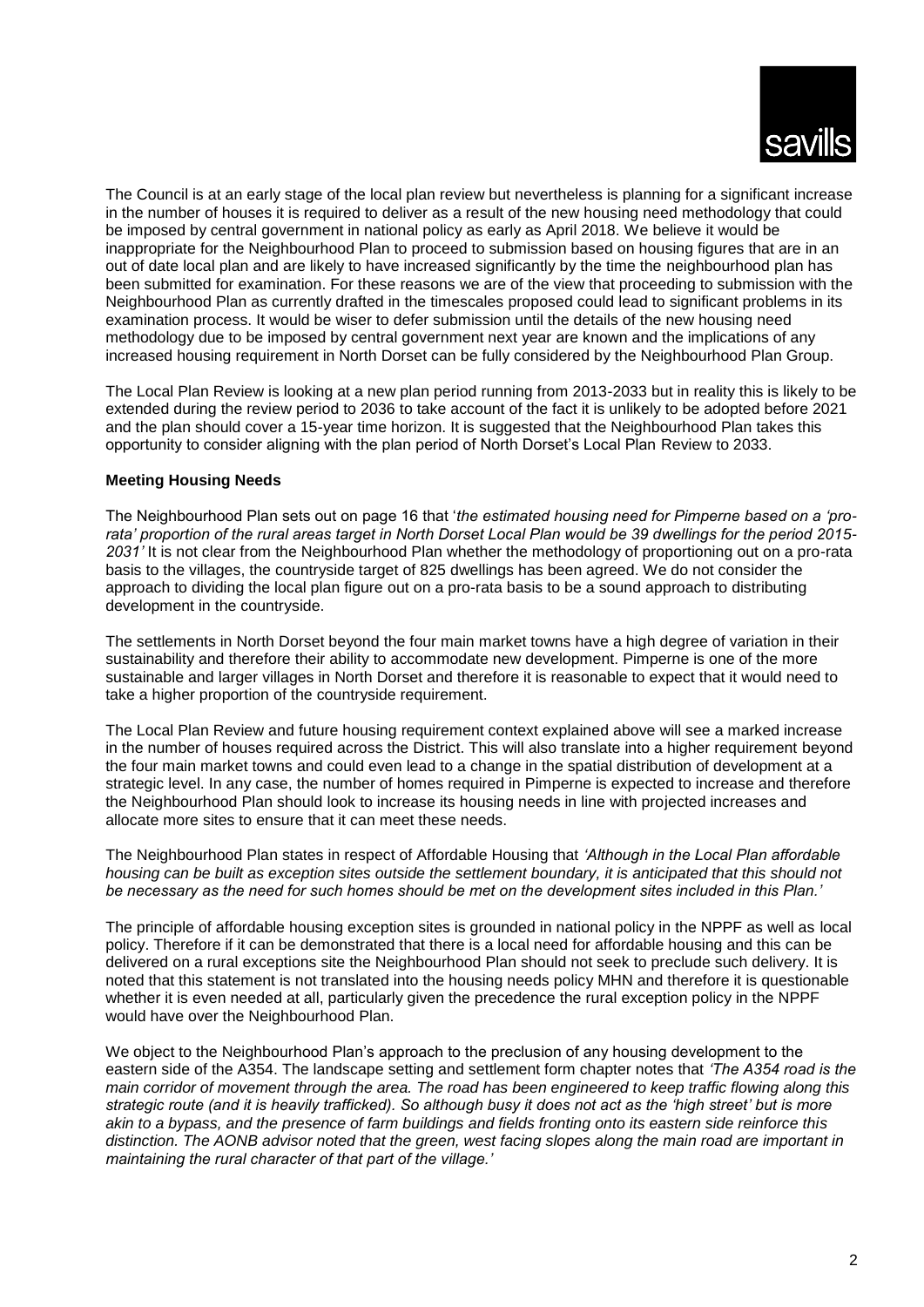

The Council is at an early stage of the local plan review but nevertheless is planning for a significant increase in the number of houses it is required to deliver as a result of the new housing need methodology that could be imposed by central government in national policy as early as April 2018. We believe it would be inappropriate for the Neighbourhood Plan to proceed to submission based on housing figures that are in an out of date local plan and are likely to have increased significantly by the time the neighbourhood plan has been submitted for examination. For these reasons we are of the view that proceeding to submission with the Neighbourhood Plan as currently drafted in the timescales proposed could lead to significant problems in its examination process. It would be wiser to defer submission until the details of the new housing need methodology due to be imposed by central government next year are known and the implications of any increased housing requirement in North Dorset can be fully considered by the Neighbourhood Plan Group.

The Local Plan Review is looking at a new plan period running from 2013-2033 but in reality this is likely to be extended during the review period to 2036 to take account of the fact it is unlikely to be adopted before 2021 and the plan should cover a 15-year time horizon. It is suggested that the Neighbourhood Plan takes this opportunity to consider aligning with the plan period of North Dorset's Local Plan Review to 2033.

## **Meeting Housing Needs**

The Neighbourhood Plan sets out on page 16 that '*the estimated housing need for Pimperne based on a 'prorata' proportion of the rural areas target in North Dorset Local Plan would be 39 dwellings for the period 2015- 2031'* It is not clear from the Neighbourhood Plan whether the methodology of proportioning out on a pro-rata basis to the villages, the countryside target of 825 dwellings has been agreed. We do not consider the approach to dividing the local plan figure out on a pro-rata basis to be a sound approach to distributing development in the countryside.

The settlements in North Dorset beyond the four main market towns have a high degree of variation in their sustainability and therefore their ability to accommodate new development. Pimperne is one of the more sustainable and larger villages in North Dorset and therefore it is reasonable to expect that it would need to take a higher proportion of the countryside requirement.

The Local Plan Review and future housing requirement context explained above will see a marked increase in the number of houses required across the District. This will also translate into a higher requirement beyond the four main market towns and could even lead to a change in the spatial distribution of development at a strategic level. In any case, the number of homes required in Pimperne is expected to increase and therefore the Neighbourhood Plan should look to increase its housing needs in line with projected increases and allocate more sites to ensure that it can meet these needs.

The Neighbourhood Plan states in respect of Affordable Housing that *'Although in the Local Plan affordable housing can be built as exception sites outside the settlement boundary, it is anticipated that this should not be necessary as the need for such homes should be met on the development sites included in this Plan.'*

The principle of affordable housing exception sites is grounded in national policy in the NPPF as well as local policy. Therefore if it can be demonstrated that there is a local need for affordable housing and this can be delivered on a rural exceptions site the Neighbourhood Plan should not seek to preclude such delivery. It is noted that this statement is not translated into the housing needs policy MHN and therefore it is questionable whether it is even needed at all, particularly given the precedence the rural exception policy in the NPPF would have over the Neighbourhood Plan.

We object to the Neighbourhood Plan's approach to the preclusion of any housing development to the eastern side of the A354. The landscape setting and settlement form chapter notes that *'The A354 road is the main corridor of movement through the area. The road has been engineered to keep traffic flowing along this strategic route (and it is heavily trafficked). So although busy it does not act as the 'high street' but is more akin to a bypass, and the presence of farm buildings and fields fronting onto its eastern side reinforce this distinction. The AONB advisor noted that the green, west facing slopes along the main road are important in maintaining the rural character of that part of the village.'*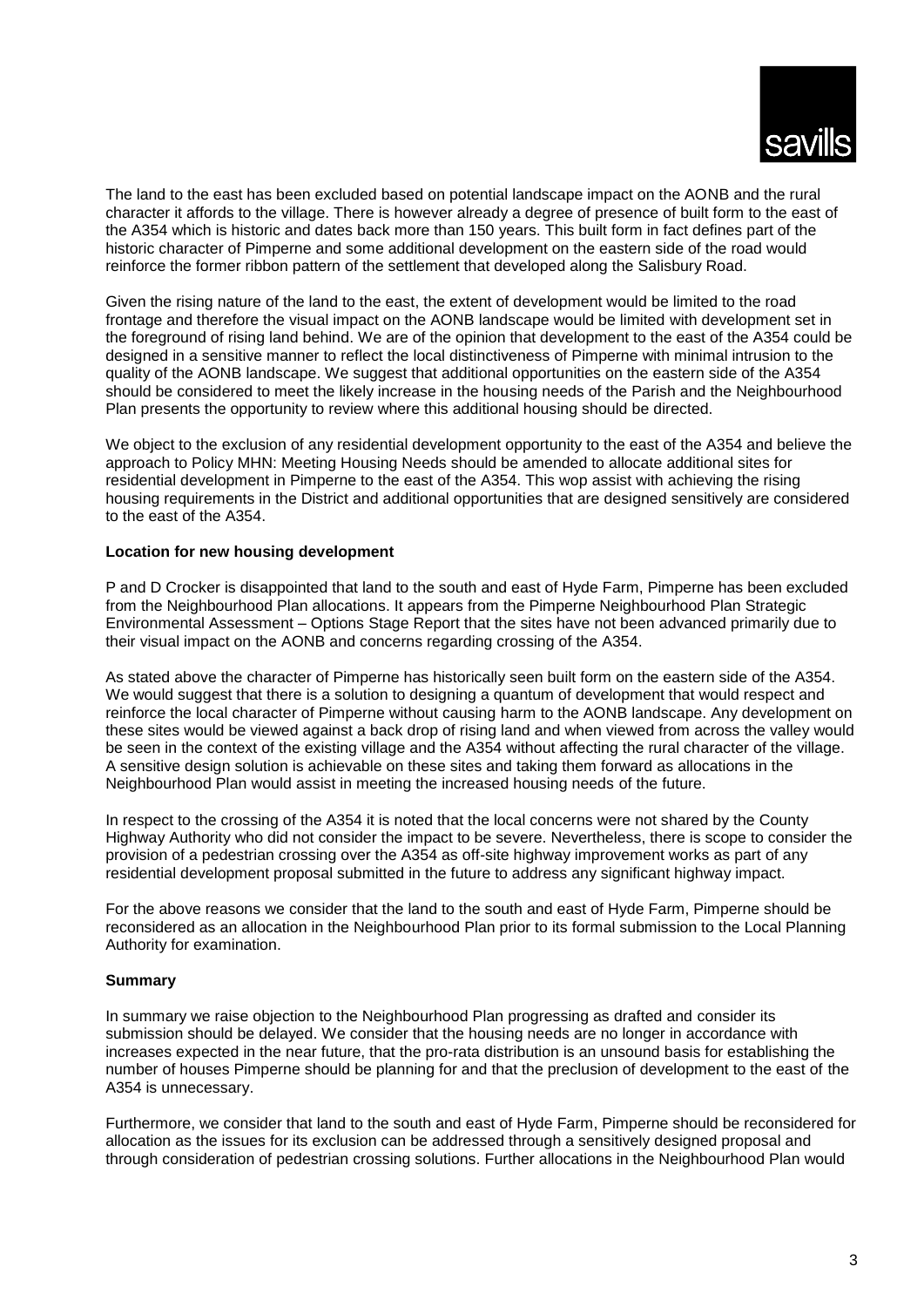

The land to the east has been excluded based on potential landscape impact on the AONB and the rural character it affords to the village. There is however already a degree of presence of built form to the east of the A354 which is historic and dates back more than 150 years. This built form in fact defines part of the historic character of Pimperne and some additional development on the eastern side of the road would reinforce the former ribbon pattern of the settlement that developed along the Salisbury Road.

Given the rising nature of the land to the east, the extent of development would be limited to the road frontage and therefore the visual impact on the AONB landscape would be limited with development set in the foreground of rising land behind. We are of the opinion that development to the east of the A354 could be designed in a sensitive manner to reflect the local distinctiveness of Pimperne with minimal intrusion to the quality of the AONB landscape. We suggest that additional opportunities on the eastern side of the A354 should be considered to meet the likely increase in the housing needs of the Parish and the Neighbourhood Plan presents the opportunity to review where this additional housing should be directed.

We object to the exclusion of any residential development opportunity to the east of the A354 and believe the approach to Policy MHN: Meeting Housing Needs should be amended to allocate additional sites for residential development in Pimperne to the east of the A354. This wop assist with achieving the rising housing requirements in the District and additional opportunities that are designed sensitively are considered to the east of the A354.

## **Location for new housing development**

P and D Crocker is disappointed that land to the south and east of Hyde Farm, Pimperne has been excluded from the Neighbourhood Plan allocations. It appears from the Pimperne Neighbourhood Plan Strategic Environmental Assessment – Options Stage Report that the sites have not been advanced primarily due to their visual impact on the AONB and concerns regarding crossing of the A354.

As stated above the character of Pimperne has historically seen built form on the eastern side of the A354. We would suggest that there is a solution to designing a quantum of development that would respect and reinforce the local character of Pimperne without causing harm to the AONB landscape. Any development on these sites would be viewed against a back drop of rising land and when viewed from across the valley would be seen in the context of the existing village and the A354 without affecting the rural character of the village. A sensitive design solution is achievable on these sites and taking them forward as allocations in the Neighbourhood Plan would assist in meeting the increased housing needs of the future.

In respect to the crossing of the A354 it is noted that the local concerns were not shared by the County Highway Authority who did not consider the impact to be severe. Nevertheless, there is scope to consider the provision of a pedestrian crossing over the A354 as off-site highway improvement works as part of any residential development proposal submitted in the future to address any significant highway impact.

For the above reasons we consider that the land to the south and east of Hyde Farm, Pimperne should be reconsidered as an allocation in the Neighbourhood Plan prior to its formal submission to the Local Planning Authority for examination.

## **Summary**

In summary we raise objection to the Neighbourhood Plan progressing as drafted and consider its submission should be delayed. We consider that the housing needs are no longer in accordance with increases expected in the near future, that the pro-rata distribution is an unsound basis for establishing the number of houses Pimperne should be planning for and that the preclusion of development to the east of the A354 is unnecessary.

Furthermore, we consider that land to the south and east of Hyde Farm, Pimperne should be reconsidered for allocation as the issues for its exclusion can be addressed through a sensitively designed proposal and through consideration of pedestrian crossing solutions. Further allocations in the Neighbourhood Plan would